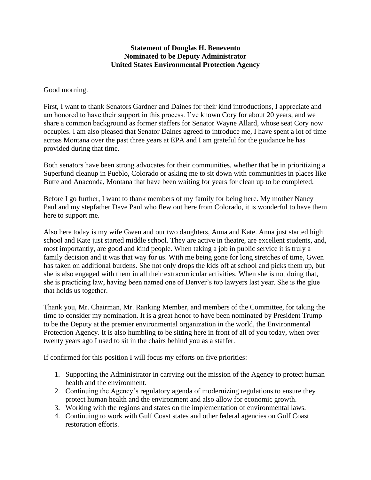## **Statement of Douglas H. Benevento Nominated to be Deputy Administrator United States Environmental Protection Agency**

## Good morning.

First, I want to thank Senators Gardner and Daines for their kind introductions, I appreciate and am honored to have their support in this process. I've known Cory for about 20 years, and we share a common background as former staffers for Senator Wayne Allard, whose seat Cory now occupies. I am also pleased that Senator Daines agreed to introduce me, I have spent a lot of time across Montana over the past three years at EPA and I am grateful for the guidance he has provided during that time.

Both senators have been strong advocates for their communities, whether that be in prioritizing a Superfund cleanup in Pueblo, Colorado or asking me to sit down with communities in places like Butte and Anaconda, Montana that have been waiting for years for clean up to be completed.

Before I go further, I want to thank members of my family for being here. My mother Nancy Paul and my stepfather Dave Paul who flew out here from Colorado, it is wonderful to have them here to support me.

Also here today is my wife Gwen and our two daughters, Anna and Kate. Anna just started high school and Kate just started middle school. They are active in theatre, are excellent students, and, most importantly, are good and kind people. When taking a job in public service it is truly a family decision and it was that way for us. With me being gone for long stretches of time, Gwen has taken on additional burdens. She not only drops the kids off at school and picks them up, but she is also engaged with them in all their extracurricular activities. When she is not doing that, she is practicing law, having been named one of Denver's top lawyers last year. She is the glue that holds us together.

Thank you, Mr. Chairman, Mr. Ranking Member, and members of the Committee, for taking the time to consider my nomination. It is a great honor to have been nominated by President Trump to be the Deputy at the premier environmental organization in the world, the Environmental Protection Agency. It is also humbling to be sitting here in front of all of you today, when over twenty years ago I used to sit in the chairs behind you as a staffer.

If confirmed for this position I will focus my efforts on five priorities:

- 1. Supporting the Administrator in carrying out the mission of the Agency to protect human health and the environment.
- 2. Continuing the Agency's regulatory agenda of modernizing regulations to ensure they protect human health and the environment and also allow for economic growth.
- 3. Working with the regions and states on the implementation of environmental laws.
- 4. Continuing to work with Gulf Coast states and other federal agencies on Gulf Coast restoration efforts.